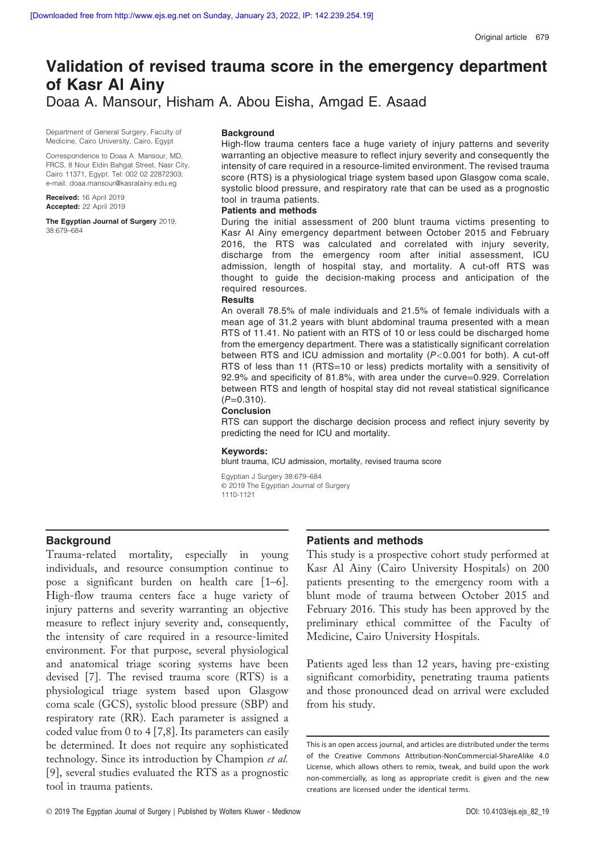# Validation of revised trauma score in the emergency department of Kasr Al Ainy Doaa A. Mansour, Hisham A. Abou Eisha, Amgad E. Asaad

Department of General Surgery, Faculty of Medicine, Cairo University, Cairo, Egypt

Correspondence to Doaa A. Mansour, MD, FRCS, 8 Nour Eldin Bahgat Street, Nasr City, Cairo 11371, Egypt. Tel: 002 02 22872303; e-mail: [doaa.mansour@kasralainy.edu.eg](mailto:doaa.mansour@kasralainy.edu.eg)

Received: 16 April 2019 Accepted: 22 April 2019

The Egyptian Journal of Surgery 2019, 38:679–684

#### **Background**

High-flow trauma centers face a huge variety of injury patterns and severity warranting an objective measure to reflect injury severity and consequently the intensity of care required in a resource-limited environment. The revised trauma score (RTS) is a physiological triage system based upon Glasgow coma scale, systolic blood pressure, and respiratory rate that can be used as a prognostic tool in trauma patients.

### Patients and methods

During the initial assessment of 200 blunt trauma victims presenting to Kasr Al Ainy emergency department between October 2015 and February 2016, the RTS was calculated and correlated with injury severity, discharge from the emergency room after initial assessment, ICU admission, length of hospital stay, and mortality. A cut-off RTS was thought to guide the decision-making process and anticipation of the required resources.

### **Results**

An overall 78.5% of male individuals and 21.5% of female individuals with a mean age of 31.2 years with blunt abdominal trauma presented with a mean RTS of 11.41. No patient with an RTS of 10 or less could be discharged home from the emergency department. There was a statistically significant correlation between RTS and ICU admission and mortality (P<0.001 for both). A cut-off RTS of less than 11 (RTS=10 or less) predicts mortality with a sensitivity of 92.9% and specificity of 81.8%, with area under the curve=0.929. Correlation between RTS and length of hospital stay did not reveal statistical significance  $(P=0.310)$ .

#### Conclusion

RTS can support the discharge decision process and reflect injury severity by predicting the need for ICU and mortality.

#### Keywords:

blunt trauma, ICU admission, mortality, revised trauma score

Egyptian J Surgery 38:679–684 © 2019 The Egyptian Journal of Surgery 1110-1121

### **Background**

Trauma-related mortality, especially in young individuals, and resource consumption continue to pose a significant burden on health care [1–6]. High-flow trauma centers face a huge variety of injury patterns and severity warranting an objective measure to reflect injury severity and, consequently, the intensity of care required in a resource-limited environment. For that purpose, several physiological and anatomical triage scoring systems have been devised [7]. The revised trauma score (RTS) is a physiological triage system based upon Glasgow coma scale (GCS), systolic blood pressure (SBP) and respiratory rate (RR). Each parameter is assigned a coded value from 0 to 4 [7,8]. Its parameters can easily be determined. It does not require any sophisticated technology. Since its introduction by Champion et al. [9], several studies evaluated the RTS as a prognostic tool in trauma patients.

### Patients and methods

This study is a prospective cohort study performed at Kasr Al Ainy (Cairo University Hospitals) on 200 patients presenting to the emergency room with a blunt mode of trauma between October 2015 and February 2016. This study has been approved by the preliminary ethical committee of the Faculty of Medicine, Cairo University Hospitals.

Patients aged less than 12 years, having pre-existing significant comorbidity, penetrating trauma patients and those pronounced dead on arrival were excluded from his study.

This is an open access journal, and articles are distributed under the terms of the Creative Commons Attribution-NonCommercial-ShareAlike 4.0 License, which allows others to remix, tweak, and build upon the work non-commercially, as long as appropriate credit is given and the new creations are licensed under the identical terms.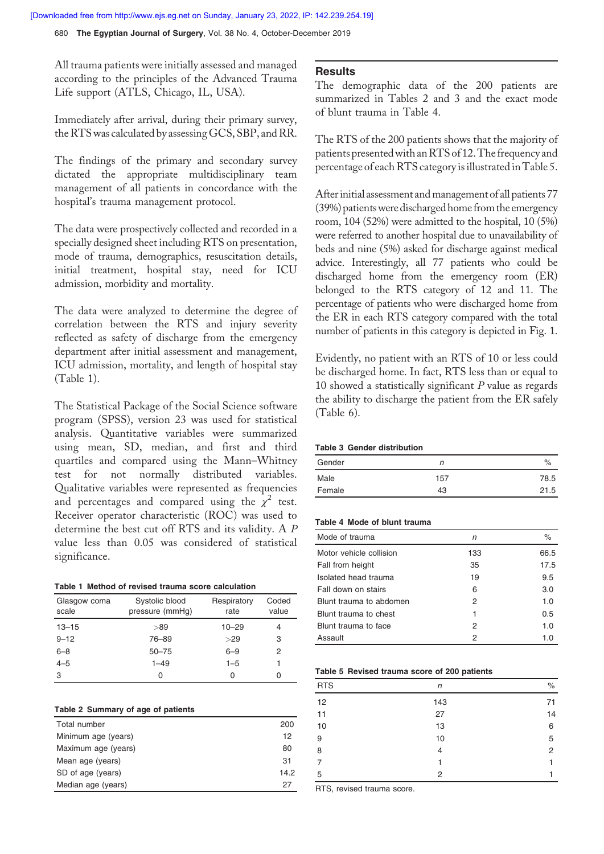680 The Egyptian Journal of Surgery, Vol. 38 No. 4, October-December 2019

All trauma patients were initially assessed and managed according to the principles of the Advanced Trauma Life support (ATLS, Chicago, IL, USA).

Immediately after arrival, during their primary survey, theRTS was calculated by assessing GCS, SBP, and RR.

The findings of the primary and secondary survey dictated the appropriate multidisciplinary team management of all patients in concordance with the hospital's trauma management protocol.

The data were prospectively collected and recorded in a specially designed sheet including RTS on presentation, mode of trauma, demographics, resuscitation details, initial treatment, hospital stay, need for ICU admission, morbidity and mortality.

The data were analyzed to determine the degree of correlation between the RTS and injury severity reflected as safety of discharge from the emergency department after initial assessment and management, ICU admission, mortality, and length of hospital stay (Table 1).

The Statistical Package of the Social Science software program (SPSS), version 23 was used for statistical analysis. Quantitative variables were summarized using mean, SD, median, and first and third quartiles and compared using the Mann–Whitney test for not normally distributed variables. Qualitative variables were represented as frequencies and percentages and compared using the  $\chi^2$  test. Receiver operator characteristic (ROC) was used to determine the best cut off RTS and its validity. A P value less than 0.05 was considered of statistical significance.

|  |  |  | Table 1 Method of revised trauma score calculation |
|--|--|--|----------------------------------------------------|
|  |  |  |                                                    |

| Glasgow coma<br>scale | Systolic blood<br>pressure (mmHg) | Respiratory<br>rate | Coded<br>value |
|-----------------------|-----------------------------------|---------------------|----------------|
| $13 - 15$             | >89                               | $10 - 29$           |                |
| $9 - 12$              | 76-89                             | >29                 | 3              |
| $6 - 8$               | $50 - 75$                         | $6 - 9$             | 2              |
| $4 - 5$               | $1 - 49$                          | $1 - 5$             |                |
| 3                     | 0                                 | O                   |                |

#### Table 2 Summary of age of patients

| Total number        | 200  |
|---------------------|------|
| Minimum age (years) | 12   |
| Maximum age (years) | 80   |
| Mean age (years)    | 31   |
| SD of age (years)   | 14.2 |
| Median age (years)  | 27   |

### **Results**

The demographic data of the 200 patients are summarized in Tables 2 and 3 and the exact mode of blunt trauma in Table 4.

The RTS of the 200 patients shows that the majority of patients presentedwith anRTS of 12. The frequency and percentage of each RTS category is illustrated in Table 5.

After initial assessment and management of all patients 77 (39%) patientswere discharged home from the emergency room, 104 (52%) were admitted to the hospital, 10 (5%) were referred to another hospital due to unavailability of beds and nine (5%) asked for discharge against medical advice. Interestingly, all 77 patients who could be discharged home from the emergency room (ER) belonged to the RTS category of 12 and 11. The percentage of patients who were discharged home from the ER in each RTS category compared with the total number of patients in this category is depicted in Fig. 1.

Evidently, no patient with an RTS of 10 or less could be discharged home. In fact, RTS less than or equal to 10 showed a statistically significant P value as regards the ability to discharge the patient from the ER safely (Table 6).

### Table 3 Gender distribution

| Gender | n   | $\%$ |
|--------|-----|------|
| Male   | 157 | 78.5 |
| Female | 43  | 21.5 |

#### Table 4 Mode of blunt trauma

| Mode of trauma          | n   | $\%$ |
|-------------------------|-----|------|
| Motor vehicle collision | 133 | 66.5 |
| Fall from height        | 35  | 17.5 |
| Isolated head trauma    | 19  | 9.5  |
| Fall down on stairs     | 6   | 3.0  |
| Blunt trauma to abdomen | 2   | 1.0  |
| Blunt trauma to chest   | 1   | 0.5  |
| Blunt trauma to face    | 2   | 1.0  |
| Assault                 | 2   | 1.0  |

### Table 5 Revised trauma score of 200 patients

| <b>RTS</b> | n   | $\%$ |
|------------|-----|------|
| 12         | 143 | 71   |
| 11         | 27  | 14   |
| 10         | 13  | 6    |
| 9          | 10  | 5    |
| 8          | 4   | 2    |
| 7          |     | 1    |
| 5          | 2   |      |

RTS, revised trauma score.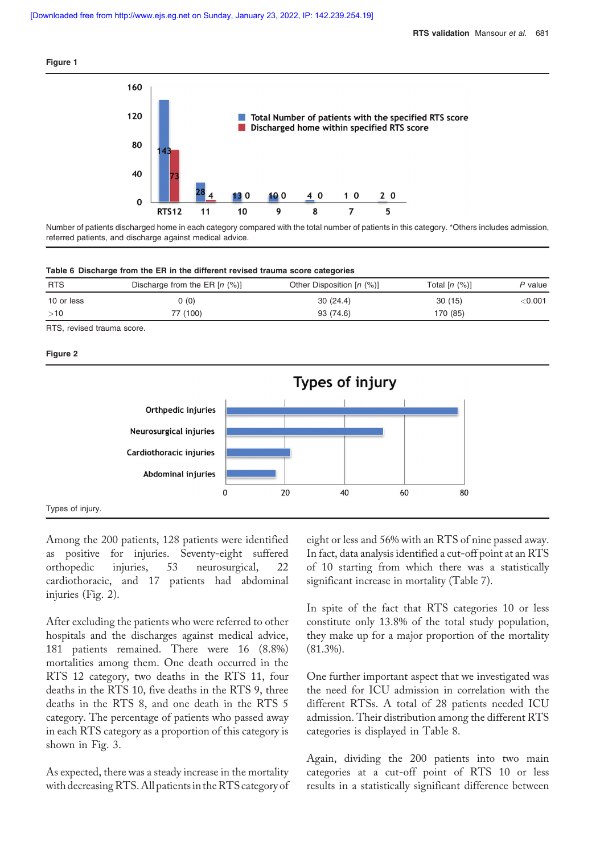



Number of patients discharged home in each category compared with the total number of patients in this category. \*Others includes admission, referred patients, and discharge against medical advice.

|  |  | Table 6 Discharge from the ER in the different revised trauma score categories |  |
|--|--|--------------------------------------------------------------------------------|--|
|  |  |                                                                                |  |

| <b>RTS</b> | Discharge from the ER $[n (%)]$ | Other Disposition $[n (%)]$ | Total $[n (%)]$ | P value        |
|------------|---------------------------------|-----------------------------|-----------------|----------------|
| 10 or less | 0 (0)                           | 30(24.4)                    | 30(15)          | $<$ 0.001 $\,$ |
| >10        | 77 (100)                        | 93 (74.6)                   | 170 (85)        |                |

RTS, revised trauma score.

### Figure 2



Among the 200 patients, 128 patients were identified as positive for injuries. Seventy-eight suffered orthopedic injuries, 53 neurosurgical, 22 cardiothoracic, and 17 patients had abdominal injuries (Fig. 2).

After excluding the patients who were referred to other hospitals and the discharges against medical advice, 181 patients remained. There were 16 (8.8%) mortalities among them. One death occurred in the RTS 12 category, two deaths in the RTS 11, four deaths in the RTS 10, five deaths in the RTS 9, three deaths in the RTS 8, and one death in the RTS 5 category. The percentage of patients who passed away in each RTS category as a proportion of this category is shown in Fig. 3.

As expected, there was a steady increase in the mortality with decreasingRTS. All patientsin theRTS category of eight or less and 56% with an RTS of nine passed away. In fact, data analysis identified a cut-off point at an RTS of 10 starting from which there was a statistically significant increase in mortality (Table 7).

In spite of the fact that RTS categories 10 or less constitute only 13.8% of the total study population, they make up for a major proportion of the mortality (81.3%).

One further important aspect that we investigated was the need for ICU admission in correlation with the different RTSs. A total of 28 patients needed ICU admission. Their distribution among the different RTS categories is displayed in Table 8.

Again, dividing the 200 patients into two main categories at a cut-off point of RTS 10 or less results in a statistically significant difference between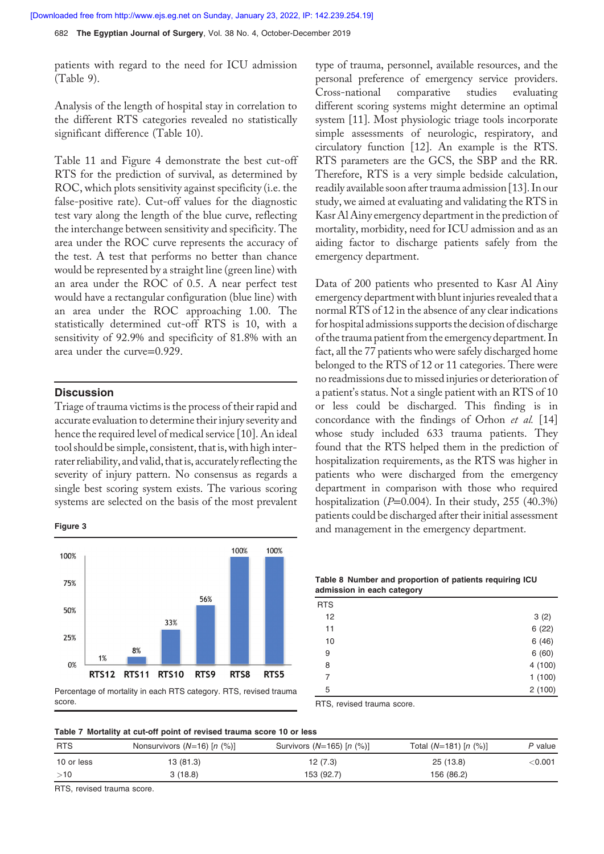**[Downloaded free from http://www.ejs.eg.net on Sunday, January 23, 2022, IP: 142.239.254.19]**

682 The Egyptian Journal of Surgery, Vol. 38 No. 4, October-December 2019

patients with regard to the need for ICU admission (Table 9).

Analysis of the length of hospital stay in correlation to the different RTS categories revealed no statistically significant difference (Table 10).

Table 11 and Figure 4 demonstrate the best cut-off RTS for the prediction of survival, as determined by ROC, which plots sensitivity against specificity (i.e. the false-positive rate). Cut-off values for the diagnostic test vary along the length of the blue curve, reflecting the interchange between sensitivity and specificity. The area under the ROC curve represents the accuracy of the test. A test that performs no better than chance would be represented by a straight line (green line) with an area under the ROC of 0.5. A near perfect test would have a rectangular configuration (blue line) with an area under the ROC approaching 1.00. The statistically determined cut-off RTS is 10, with a sensitivity of 92.9% and specificity of 81.8% with an area under the curve=0.929.

### **Discussion**

Triage of trauma victims is the process of their rapid and accurate evaluation to determine their injury severity and hence the required level of medical service [10]. An ideal tool should be simple, consistent, that is, with high interrater reliability, and valid, that is, accurately reflecting the severity of injury pattern. No consensus as regards a single best scoring system exists. The various scoring systems are selected on the basis of the most prevalent

### Figure 3



score.

type of trauma, personnel, available resources, and the personal preference of emergency service providers. Cross-national comparative studies evaluating different scoring systems might determine an optimal system [11]. Most physiologic triage tools incorporate simple assessments of neurologic, respiratory, and circulatory function [12]. An example is the RTS. RTS parameters are the GCS, the SBP and the RR. Therefore, RTS is a very simple bedside calculation, readily available soon after trauma admission [13]. In our study, we aimed at evaluating and validating the RTS in Kasr Al Ainy emergency department in the prediction of mortality, morbidity, need for ICU admission and as an aiding factor to discharge patients safely from the emergency department.

Data of 200 patients who presented to Kasr Al Ainy emergency department with blunt injuries revealed that a normal RTS of 12 in the absence of any clear indications for hospital admissions supports the decision of discharge of the trauma patient from the emergency department. In fact, all the 77 patients who were safely discharged home belonged to the RTS of 12 or 11 categories. There were no readmissions due to missed injuries or deterioration of a patient's status. Not a single patient with an RTS of 10 or less could be discharged. This finding is in concordance with the findings of Orhon et al. [14] whose study included 633 trauma patients. They found that the RTS helped them in the prediction of hospitalization requirements, as the RTS was higher in patients who were discharged from the emergency department in comparison with those who required hospitalization ( $P=0.004$ ). In their study, 255 (40.3%) patients could be discharged after their initial assessment and management in the emergency department.

| Table 8 Number and proportion of patients requiring ICU |  |
|---------------------------------------------------------|--|
| admission in each category                              |  |

| <b>RTS</b>     |        |
|----------------|--------|
| 12             | 3(2)   |
| 11             | 6(22)  |
| 10             | 6(46)  |
| 9              | 6(60)  |
| 8              | 4(100) |
| $\overline{7}$ | 1(100) |
| 5              | 2(100) |

RTS, revised trauma score.

|  | Table 7 Mortality at cut-off point of revised trauma score 10 or less |  |  |  |  |  |  |  |  |  |
|--|-----------------------------------------------------------------------|--|--|--|--|--|--|--|--|--|
|--|-----------------------------------------------------------------------|--|--|--|--|--|--|--|--|--|

| <b>RTS</b> | Nonsurvivors $(N=16)$ [n $(\%)$ ] | Survivors ( $N=165$ ) [n (%)] | Total $(N=181)$ [n $(\%)$ ] | P value        |
|------------|-----------------------------------|-------------------------------|-----------------------------|----------------|
| 10 or less | 13 (81.3)                         | 12(7.3)                       | 25 (13.8)                   | $<$ 0.001 $\,$ |
| >10        | 3 (18.8)                          | 153 (92.7)                    | 156 (86.2)                  |                |

RTS, revised trauma score.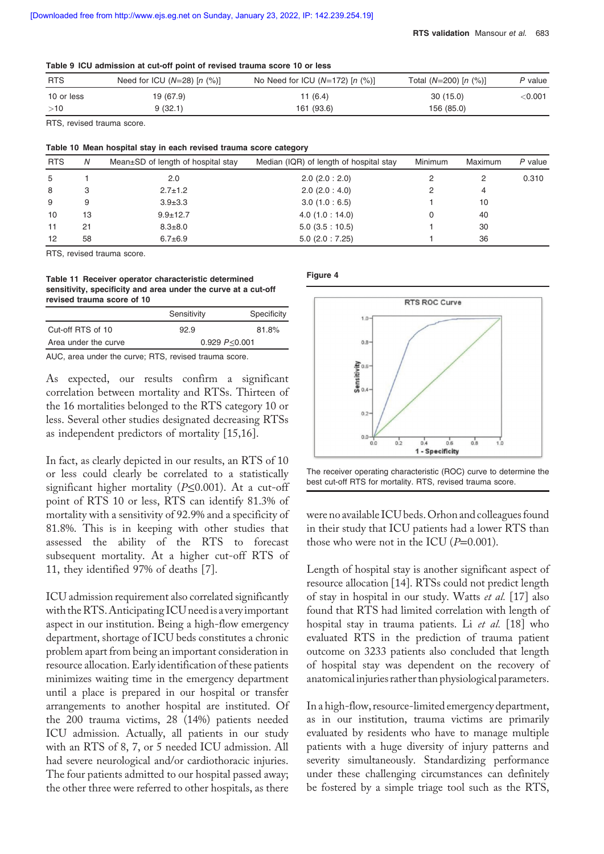|  | Table 9 ICU admission at cut-off point of revised trauma score 10 or less |  |  |  |  |  |  |
|--|---------------------------------------------------------------------------|--|--|--|--|--|--|
|--|---------------------------------------------------------------------------|--|--|--|--|--|--|

| <b>RTS</b> | Need for ICU $(N=28)$ [n $(\%)$ ] | No Need for ICU $(N=172)$ [n $(\%)$ ] | Total $(N=200)$ [n $(\%)$ ] | P value        |
|------------|-----------------------------------|---------------------------------------|-----------------------------|----------------|
| 10 or less | 19 (67.9)                         | 11(6.4)                               | 30(15.0)                    | $<$ 0.001 $\,$ |
| >10        | 9(32.1)                           | 161 (93.6)                            | 156 (85.0)                  |                |

RTS, revised trauma score.

| Table 10 Mean hospital stay in each revised trauma score category |    |                                    |                                         |         |         |           |
|-------------------------------------------------------------------|----|------------------------------------|-----------------------------------------|---------|---------|-----------|
| <b>RTS</b>                                                        | N  | Mean±SD of length of hospital stay | Median (IQR) of length of hospital stay | Minimum | Maximum | $P$ value |
| 5                                                                 |    | 2.0                                | $2.0$ ( $2.0:2.0$ )                     |         | 2       | 0.310     |
| 8                                                                 | 3  | $2.7 \pm 1.2$                      | $2.0$ (2.0 : 4.0)                       |         | 4       |           |
| 9                                                                 | 9  | $3.9 \pm 3.3$                      | 3.0(1.0:6.5)                            |         | 10      |           |
| 10                                                                | 13 | $9.9 \pm 12.7$                     | 4.0(1.0:14.0)                           |         | 40      |           |
| 11                                                                | 21 | $8.3 \pm 8.0$                      | 5.0(3.5:10.5)                           |         | 30      |           |
| 12                                                                | 58 | $6.7 + 6.9$                        | $5.0$ (2.0 : 7.25)                      |         | 36      |           |

RTS, revised trauma score.

Table 11 Receiver operator characteristic determined sensitivity, specificity and area under the curve at a cut-off revised trauma score of 10

|                      | Sensitivity     | Specificity |  |
|----------------------|-----------------|-------------|--|
| Cut-off RTS of 10    | 92.9            | 81.8%       |  |
| Area under the curve | 0.929 P < 0.001 |             |  |
|                      |                 |             |  |

AUC, area under the curve; RTS, revised trauma score.

As expected, our results confirm a significant correlation between mortality and RTSs. Thirteen of the 16 mortalities belonged to the RTS category 10 or less. Several other studies designated decreasing RTSs as independent predictors of mortality [15,16].

In fact, as clearly depicted in our results, an RTS of 10 or less could clearly be correlated to a statistically significant higher mortality ( $P \le 0.001$ ). At a cut-off point of RTS 10 or less, RTS can identify 81.3% of mortality with a sensitivity of 92.9% and a specificity of 81.8%. This is in keeping with other studies that assessed the ability of the RTS to forecast subsequent mortality. At a higher cut-off RTS of 11, they identified 97% of deaths [7].

ICU admission requirement also correlated significantly with theRTS. Anticipating ICU needis a veryimportant aspect in our institution. Being a high-flow emergency department, shortage of ICU beds constitutes a chronic problem apart from being an important consideration in resource allocation. Early identification of these patients minimizes waiting time in the emergency department until a place is prepared in our hospital or transfer arrangements to another hospital are instituted. Of the 200 trauma victims, 28 (14%) patients needed ICU admission. Actually, all patients in our study with an RTS of 8, 7, or 5 needed ICU admission. All had severe neurological and/or cardiothoracic injuries. The four patients admitted to our hospital passed away; the other three were referred to other hospitals, as there







were no available ICU beds.Orhon and colleagues found in their study that ICU patients had a lower RTS than those who were not in the ICU  $(P=0.001)$ .

Length of hospital stay is another significant aspect of resource allocation [14]. RTSs could not predict length of stay in hospital in our study. Watts et al. [17] also found that RTS had limited correlation with length of hospital stay in trauma patients. Li et al. [18] who evaluated RTS in the prediction of trauma patient outcome on 3233 patients also concluded that length of hospital stay was dependent on the recovery of anatomicalinjuries rather than physiological parameters.

In a high-flow, resource-limited emergency department, as in our institution, trauma victims are primarily evaluated by residents who have to manage multiple patients with a huge diversity of injury patterns and severity simultaneously. Standardizing performance under these challenging circumstances can definitely be fostered by a simple triage tool such as the RTS,